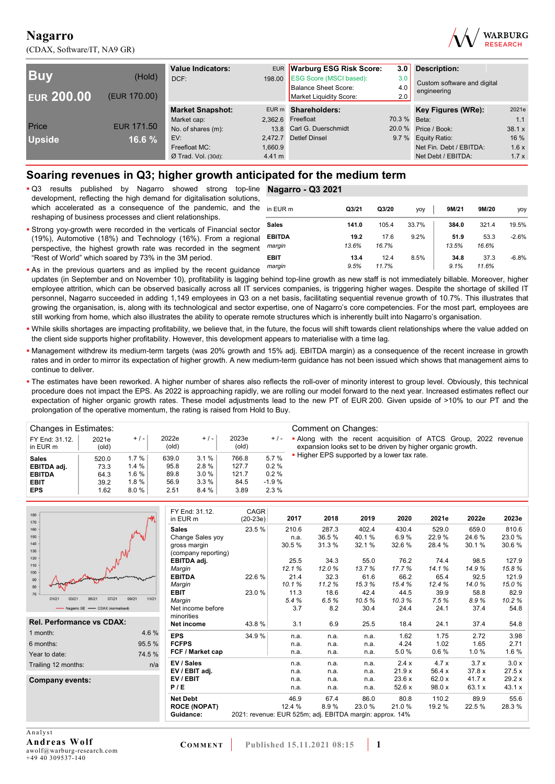(CDAX, Software/IT, NA9 GR)



| <b>Buy</b><br><b>EUR 200.00</b> | (Hold)<br>(EUR 170.00) | <b>Value Indicators:</b><br>DCF:       |                   | EUR Warburg ESG Risk Score:<br>198.00 ESG Score (MSCI based):<br><b>Balance Sheet Score:</b><br>Market Liquidity Score: | 3.0<br>3.0<br>4.0<br>2.0 | Description:<br>Custom software and digital<br>engineering |              |
|---------------------------------|------------------------|----------------------------------------|-------------------|-------------------------------------------------------------------------------------------------------------------------|--------------------------|------------------------------------------------------------|--------------|
|                                 |                        | <b>Market Snapshot:</b>                |                   | EUR m Shareholders:                                                                                                     |                          | Key Figures (WRe):                                         | 2021e        |
| Price                           | <b>EUR 171.50</b>      | Market cap:<br>No. of shares (m):      |                   | 2,362.6 Freefloat<br>13.8 Carl G. Duerschmidt                                                                           | 70.3 % Beta:             | 20.0 % Price / Book:                                       | 1.1<br>38.1x |
| <b>Upside</b>                   | 16.6 %                 | EV:                                    | 2.472.7           | <b>Detlef Dinsel</b>                                                                                                    |                          | 9.7 % Equity Ratio:                                        | 16 %         |
|                                 |                        | Freefloat MC:<br>$Ø$ Trad. Vol. (30d): | 1.660.9<br>4.41 m |                                                                                                                         |                          | Net Fin. Debt / EBITDA:<br>Net Debt / EBITDA:              | 1.6x<br>1.7x |

## **Soaring revenues in Q3; higher growth anticipated for the medium term**

 Q3 results published by Nagarro showed strong top-line **Nagarro - Q3 2021** development, reflecting the high demand for digitalisation solutions, which accelerated as a consequence of the pandemic, and the reshaping of business processes and client relationships.

- 
- Strong yoy-growth were recorded in the verticals of Financial sector (19%), Automotive (18%) and Technology (16%). From a regional perspective, the highest growth rate was recorded in the segment "Rest of World" which soared by 73% in the 3M period.

| ∍ | in EUR m                | Q <sub>3/21</sub> | Q3/20         | yoy   | 9M/21         | 9M/20         | yoy     |
|---|-------------------------|-------------------|---------------|-------|---------------|---------------|---------|
| r | Sales                   | 141.0             | 105.4         | 33.7% | 384.0         | 321.4         | 19.5%   |
| f | <b>EBITDA</b><br>margin | 19.2<br>13.6%     | 17.6<br>16.7% | 9.2%  | 51.9<br>13.5% | 53.3<br>16.6% | $-2.6%$ |
|   | <b>EBIT</b><br>margin   | 13.4<br>9.5%      | 12.4<br>11.7% | 8.5%  | 34.8<br>9.1%  | 37.3<br>11.6% | $-6.8%$ |

- **As in the previous quarters and as implied by the recent quidance** updates (in September and on November 10), profitability is lagging behind top-line growth as new staff is not immediately billable. Moreover, higher employee attrition, which can be observed basically across all IT services companies, is triggering higher wages. Despite the shortage of skilled IT personnel, Nagarro succeeded in adding 1,149 employees in Q3 on a net basis, facilitating sequential revenue growth of 10.7%. This illustrates that growing the organisation, is, along with its technological and sector expertise, one of Nagarro's core competencies. For the most part, employees are still working from home, which also illustrates the ability to operate remote structures which is inherently built into Nagarro's organisation.
- While skills shortages are impacting profitability, we believe that, in the future, the focus will shift towards client relationships where the value added on the client side supports higher profitability. However, this development appears to materialise with a time lag.
- Management withdrew its medium-term targets (was 20% growth and 15% adj. EBITDA margin) as a consequence of the recent increase in growth rates and in order to mirror its expectation of higher growth. A new medium-term guidance has not been issued which shows that management aims to continue to deliver.
- The estimates have been reworked. A higher number of shares also reflects the roll-over of minority interest to group level. Obviously, this technical procedure does not impact the EPS. As 2022 is approaching rapidly, we are rolling our model forward to the next year. Increased estimates reflect our expectation of higher organic growth rates. These model adjustments lead to the new PT of EUR 200. Given upside of >10% to our PT and the prolongation of the operative momentum, the rating is raised from Hold to Buy.

| Changes in Estimates:      |                |          |                |       |                |         | Comment on Changes:                                                                                                           |
|----------------------------|----------------|----------|----------------|-------|----------------|---------|-------------------------------------------------------------------------------------------------------------------------------|
| FY End: 31.12.<br>in EUR m | 2021e<br>(old) | $+/-$    | 2022e<br>(old) | $+/-$ | 2023e<br>(old) | $+/-$   | • Along with the recent acquisition of ATCS Group, 2022 revenue<br>expansion looks set to be driven by higher organic growth. |
| <b>Sales</b>               | 520.0          | 1.7%     | 639.0          | 3.1%  | 766.8          | 5.7%    | . Higher EPS supported by a lower tax rate.                                                                                   |
| EBITDA adj.                | 73.3           | $1.4 \%$ | 95.8           | 2.8%  | 127.7          | 0.2%    |                                                                                                                               |
| <b>EBITDA</b>              | 64.3           | 1.6%     | 89.8           | 3.0%  | 121.7          | 0.2%    |                                                                                                                               |
| <b>EBIT</b>                | 39.2           | $1.8 \%$ | 56.9           | 3.3%  | 84.5           | $-1.9%$ |                                                                                                                               |
| <b>EPS</b>                 | 1.62           | 8.0%     | 2.51           | 8.4%  | 3.89           | 2.3%    |                                                                                                                               |

| 180<br>170                       |                | FY End: 31.12.<br>in EUR m | CAGR<br>$(20-23e)$                                       | 2017   | 2018  | 2019  | 2020   | 2021e  | 2022e  | 2023e  |
|----------------------------------|----------------|----------------------------|----------------------------------------------------------|--------|-------|-------|--------|--------|--------|--------|
| 160                              |                | <b>Sales</b>               | 23.5 %                                                   | 210.6  | 287.3 | 402.4 | 430.4  | 529.0  | 659.0  | 810.6  |
| 150                              |                | Change Sales yoy           |                                                          | n.a.   | 36.5% | 40.1% | 6.9%   | 22.9%  | 24.6%  | 23.0%  |
| 140                              |                | gross margin               |                                                          | 30.5%  | 31.3% | 32.1% | 32.6 % | 28.4 % | 30.1%  | 30.6%  |
| 130                              |                | (company reporting)        |                                                          |        |       |       |        |        |        |        |
| 120<br>110                       |                | EBITDA adj.                |                                                          | 25.5   | 34.3  | 55.0  | 76.2   | 74.4   | 98.5   | 127.9  |
| 100                              |                | Margin                     |                                                          | 12.1%  | 12.0% | 13.7% | 17.7%  | 14.1%  | 14.9%  | 15.8%  |
| 90                               |                | <b>EBITDA</b>              | 22.6%                                                    | 21.4   | 32.3  | 61.6  | 66.2   | 65.4   | 92.5   | 121.9  |
| 80                               |                | Margin                     |                                                          | 10.1%  | 11.2% | 15.3% | 15.4%  | 12.4%  | 14.0%  | 15.0%  |
| 70                               |                | <b>EBIT</b>                | 23.0%                                                    | 11.3   | 18.6  | 42.4  | 44.5   | 39.9   | 58.8   | 82.9   |
| 01/21<br>05/21<br>03/21<br>07/21 | 09/21<br>11/21 | Margin                     |                                                          | 5.4%   | 6.5%  | 10.5% | 10.3%  | 7.5%   | 8.9%   | 10.2%  |
| - Nagarro SE - CDAX (normalised) |                | Net income before          |                                                          | 3.7    | 8.2   | 30.4  | 24.4   | 24.1   | 37.4   | 54.8   |
| <b>Rel. Performance vs CDAX:</b> |                | minorities                 |                                                          |        |       |       |        |        |        |        |
|                                  |                | Net income                 | 43.8%                                                    | 3.1    | 6.9   | 25.5  | 18.4   | 24.1   | 37.4   | 54.8   |
| 1 month:                         | 4.6%           | <b>EPS</b>                 | 34.9%                                                    | n.a.   | n.a.  | n.a.  | 1.62   | 1.75   | 2.72   | 3.98   |
| 6 months:                        | 95.5 %         | <b>FCFPS</b>               |                                                          | n.a.   | n.a.  | n.a.  | 4.24   | 1.02   | 1.65   | 2.71   |
| Year to date:                    | 74.5 %         | FCF / Market cap           |                                                          | n.a.   | n.a.  | n.a.  | 5.0%   | 0.6 %  | 1.0%   | 1.6%   |
| Trailing 12 months:              | n/a            | EV / Sales                 |                                                          | n.a.   | n.a.  | n.a.  | 2.4x   | 4.7x   | 3.7x   | 3.0x   |
|                                  |                | EV / EBIT adj.             |                                                          | n.a.   | n.a.  | n.a.  | 21.9x  | 56.4x  | 37.8x  | 27.5x  |
| Company events:                  |                | EV/EBIT                    |                                                          | n.a.   | n.a.  | n.a.  | 23.6x  | 62.0 x | 41.7 x | 29.2 x |
|                                  |                | P/E                        |                                                          | n.a.   | n.a.  | n.a.  | 52.6 x | 98.0 x | 63.1 x | 43.1 x |
|                                  |                | <b>Net Debt</b>            |                                                          | 46.9   | 67.4  | 86.0  | 80.8   | 110.2  | 89.9   | 55.6   |
|                                  |                | <b>ROCE (NOPAT)</b>        |                                                          | 12.4 % | 8.9%  | 23.0% | 21.0%  | 19.2 % | 22.5%  | 28.3%  |
|                                  |                | Guidance:                  | 2021: revenue: EUR 525m; adj. EBITDA margin: approx. 14% |        |       |       |        |        |        |        |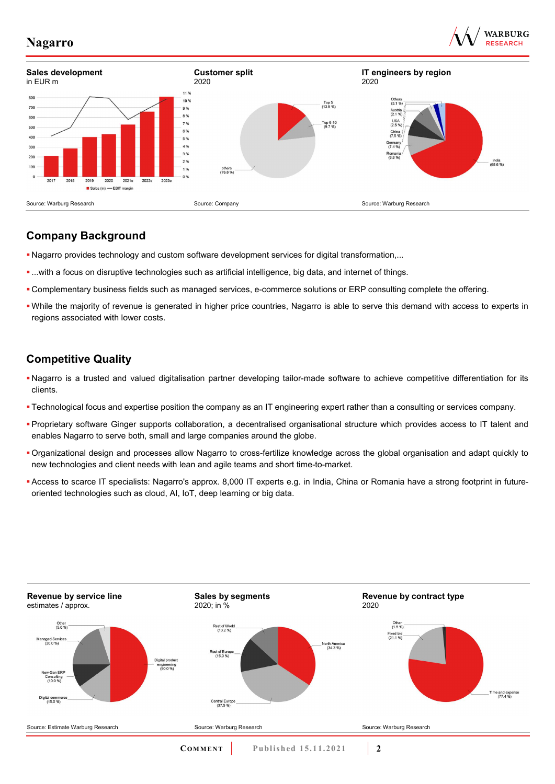





# **Company Background**

- Nagarro provides technology and custom software development services for digital transformation,...
- ...with a focus on disruptive technologies such as artificial intelligence, big data, and internet of things.
- Complementary business fields such as managed services, e-commerce solutions or ERP consulting complete the offering.
- While the majority of revenue is generated in higher price countries, Nagarro is able to serve this demand with access to experts in regions associated with lower costs.

# **Competitive Quality**

- Nagarro is a trusted and valued digitalisation partner developing tailor-made software to achieve competitive differentiation for its clients.
- Technological focus and expertise position the company as an IT engineering expert rather than a consulting or services company.
- Proprietary software Ginger supports collaboration, a decentralised organisational structure which provides access to IT talent and enables Nagarro to serve both, small and large companies around the globe.
- Organizational design and processes allow Nagarro to cross-fertilize knowledge across the global organisation and adapt quickly to new technologies and client needs with lean and agile teams and short time-to-market.
- Access to scarce IT specialists: Nagarro's approx. 8,000 IT experts e.g. in India, China or Romania have a strong footprint in futureoriented technologies such as cloud, AI, IoT, deep learning or big data.

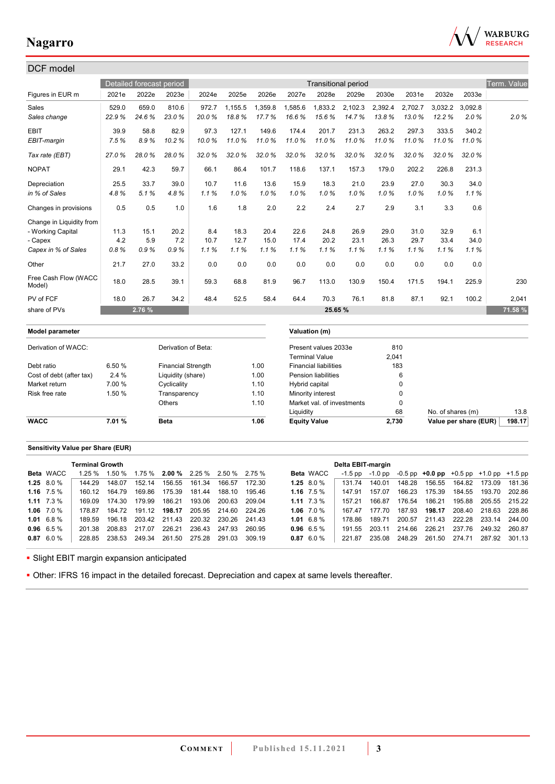

| DCF model                      |        |                          |                           |       |         |         |                     |                              |                            |         |                   |                   |                       |                    |
|--------------------------------|--------|--------------------------|---------------------------|-------|---------|---------|---------------------|------------------------------|----------------------------|---------|-------------------|-------------------|-----------------------|--------------------|
|                                |        | Detailed forecast period |                           |       |         |         |                     |                              | <b>Transitional period</b> |         |                   |                   |                       | <b>Term. Value</b> |
| Figures in EUR m               | 2021e  | 2022e                    | 2023e                     | 2024e | 2025e   | 2026e   | 2027e               | 2028e                        | 2029e                      | 2030e   | 2031e             | 2032e             | 2033e                 |                    |
| <b>Sales</b>                   | 529.0  | 659.0                    | 810.6                     | 972.7 | 1,155.5 | 1,359.8 | 1,585.6             | 1,833.2                      | 2,102.3                    | 2,392.4 | 2,702.7           | 3,032.2           | 3.092.8               |                    |
| Sales change                   | 22.9%  | 24.6%                    | 23.0%                     | 20.0% | 18.8%   | 17.7%   | 16.6%               | 15.6%                        | 14.7%                      | 13.8%   | 13.0%             | 12.2%             | 2.0%                  | 2.0%               |
| <b>EBIT</b>                    | 39.9   | 58.8                     | 82.9                      | 97.3  | 127.1   | 149.6   | 174.4               | 201.7                        | 231.3                      | 263.2   | 297.3             | 333.5             | 340.2                 |                    |
| EBIT-margin                    | 7.5%   | 8.9%                     | 10.2%                     | 10.0% | 11.0%   | 11.0%   | 11.0%               | 11.0%                        | 11.0%                      | 11.0%   | 11.0%             | 11.0%             | 11.0%                 |                    |
| Tax rate (EBT)                 | 27.0%  | 28.0%                    | 28.0%                     | 32.0% | 32.0%   | 32.0%   | 32.0%               | 32.0%                        | 32.0%                      | 32.0%   | 32.0%             | 32.0%             | 32.0%                 |                    |
| <b>NOPAT</b>                   | 29.1   | 42.3                     | 59.7                      | 66.1  | 86.4    | 101.7   | 118.6               | 137.1                        | 157.3                      | 179.0   | 202.2             | 226.8             | 231.3                 |                    |
| Depreciation                   | 25.5   | 33.7                     | 39.0                      | 10.7  | 11.6    | 13.6    | 15.9                | 18.3                         | 21.0                       | 23.9    | 27.0              | 30.3              | 34.0                  |                    |
| in % of Sales                  | 4.8%   | 5.1%                     | 4.8%                      | 1.1%  | 1.0%    | 1.0%    | 1.0%                | 1.0%                         | 1.0%                       | 1.0%    | 1.0%              | 1.0%              | 1.1%                  |                    |
| Changes in provisions          | 0.5    | 0.5                      | 1.0                       | 1.6   | 1.8     | 2.0     | 2.2                 | 2.4                          | 2.7                        | 2.9     | 3.1               | 3.3               | 0.6                   |                    |
| Change in Liquidity from       |        |                          |                           |       |         |         |                     |                              |                            |         |                   |                   |                       |                    |
| - Working Capital              | 11.3   | 15.1                     | 20.2                      | 8.4   | 18.3    | 20.4    | 22.6                | 24.8                         | 26.9                       | 29.0    | 31.0              | 32.9              | 6.1                   |                    |
| - Capex                        | 4.2    | 5.9                      | 7.2                       | 10.7  | 12.7    | 15.0    | 17.4                | 20.2                         | 23.1                       | 26.3    | 29.7              | 33.4              | 34.0                  |                    |
| Capex in % of Sales            | 0.8%   | 0.9%                     | 0.9%                      | 1.1%  | 1.1%    | 1.1%    | 1.1%                | 1.1%                         | 1.1%                       | 1.1%    | 1.1%              | 1.1%              | 1.1%                  |                    |
| Other                          | 21.7   | 27.0                     | 33.2                      | 0.0   | 0.0     | 0.0     | 0.0                 | 0.0                          | 0.0                        | 0.0     | 0.0               | 0.0               | 0.0                   |                    |
| Free Cash Flow (WACC<br>Model) | 18.0   | 28.5                     | 39.1                      | 59.3  | 68.8    | 81.9    | 96.7                | 113.0                        | 130.9                      | 150.4   | 171.5             | 194.1             | 225.9                 | 230                |
| PV of FCF                      | 18.0   | 26.7                     | 34.2                      | 48.4  | 52.5    | 58.4    | 64.4                | 70.3                         | 76.1                       | 81.8    | 87.1              | 92.1              | 100.2                 | 2,041              |
| share of PVs                   |        | 2.76 %                   |                           |       |         |         |                     | 25.65 %                      |                            |         |                   |                   |                       | 71.58 %            |
| Model parameter                |        |                          |                           |       |         |         |                     | Valuation (m)                |                            |         |                   |                   |                       |                    |
| Derivation of WACC:            |        |                          | Derivation of Beta:       |       |         |         |                     | Present values 2033e         |                            |         | 810               |                   |                       |                    |
|                                |        |                          |                           |       |         |         |                     | <b>Terminal Value</b>        |                            | 2,041   |                   |                   |                       |                    |
| Debt ratio                     | 6.50%  |                          | <b>Financial Strength</b> |       |         | 1.00    |                     | <b>Financial liabilities</b> |                            |         | 183               |                   |                       |                    |
| Cost of debt (after tax)       | 2.4%   |                          | Liquidity (share)         |       |         | 1.00    |                     | <b>Pension liabilities</b>   |                            |         | 6                 |                   |                       |                    |
| Market return                  | 7.00 % |                          | Cyclicality               |       |         | 1.10    | Hybrid capital      |                              |                            |         | $\mathbf 0$       |                   |                       |                    |
| Risk free rate                 | 1.50 % |                          | Transparency              |       |         | 1.10    |                     | Minority interest            |                            |         | $\Omega$          |                   |                       |                    |
|                                |        |                          | Others                    |       |         | 1.10    | Liquidity           | Market val. of investments   |                            |         | $\mathbf 0$<br>68 | No. of shares (m) |                       | 13.8               |
| <b>WACC</b>                    | 7.01%  |                          | <b>Beta</b>               |       |         | 1.06    | <b>Equity Value</b> |                              |                            | 2,730   |                   |                   | Value per share (EUR) | 198.17             |
|                                |        |                          |                           |       |         |         |                     |                              |                            |         |                   |                   |                       |                    |

### **Sensitivity Value per Share (EUR)**

| <b>Terminal Growth</b> |        |        |        |               |                                      | Delta EBIT-margin |        |                 |                  |           |         |        |                                                   |        |                      |        |
|------------------------|--------|--------|--------|---------------|--------------------------------------|-------------------|--------|-----------------|------------------|-----------|---------|--------|---------------------------------------------------|--------|----------------------|--------|
| <b>Beta</b> WACC       | 1.25%  | 1.50 % |        |               | $1.75\%$ 2.00 % 2.25 % 2.50 % 2.75 % |                   |        |                 | <b>Beta</b> WACC | $-1.5$ pp | -1.0 pp |        | $-0.5$ pp $+0.0$ pp $+0.5$ pp $+1.0$ pp $+1.5$ pp |        |                      |        |
| 1.25 $8.0\%$           | 144 29 | 148.07 | 152.14 | 156.55        | 161.34                               | 166.57            | 172 30 | 1.25 $8.0\%$    |                  | 131 74    | 140.01  | 148.28 | 156.55                                            | 164.82 | 173.09               | 181.36 |
| 1.16 $7.5\%$           | 160.12 | 164.79 | 169.86 | 175.39        | 181.44                               | 188.10            | 195.46 |                 | 1.16 $7.5\%$     | 147 91    | 157.07  | 166.23 | 175.39                                            | 184.55 | 193.70               | 202.86 |
| 1.11 $7.3\%$           | 169.09 | 174.30 | 179.99 | 186.21        | 193.06                               | 200.63            | 209.04 | 1.11 $7.3\%$    |                  | 157 21    | 166.87  | 176.54 | 186.21                                            | 195.88 | 205.55 215.22        |        |
| 1.06 $7.0\%$           | 178 87 | 184.72 | 191.12 | 198.17        |                                      | 205.95 214.60     | 224.26 | 1.06 $7.0\%$    |                  | 16747     | 177.70  | 187.93 | 198.17                                            | 208.40 | 218.63 228.86        |        |
| $1.01 \quad 6.8\%$     | 189.59 | 196 18 |        | 203.42 211.43 | 220.32 230.26                        |                   | 24143  | $1.01\;6.8\;\%$ |                  | 178.86    | 189 71  | 200.57 |                                                   |        | 211.43 222.28 233.14 | 244.00 |
| $0.96$ 6.5 %           | 201.38 | 208.83 | 217.07 | 226.21        | 236.43                               | 247.93            | 260.95 | $0.96$ 6.5 %    |                  | 191 55    | 203.11  | 214.66 | 226.21                                            | 237.76 | 249.32               | 260.87 |
| $0.87$ 6.0 %           | 228.85 | 238.53 | 249.34 | 261.50        | 275.28                               | 291.03            | 309.19 | $0.87$ 6.0 %    |                  | 221.87    | 235.08  | 248.29 | 261.50                                            | 274.71 | 287.92 301.13        |        |
|                        |        |        |        |               |                                      |                   |        |                 |                  |           |         |        |                                                   |        |                      |        |

**- Slight EBIT margin expansion anticipated** 

Other: IFRS 16 impact in the detailed forecast. Depreciation and capex at same levels thereafter.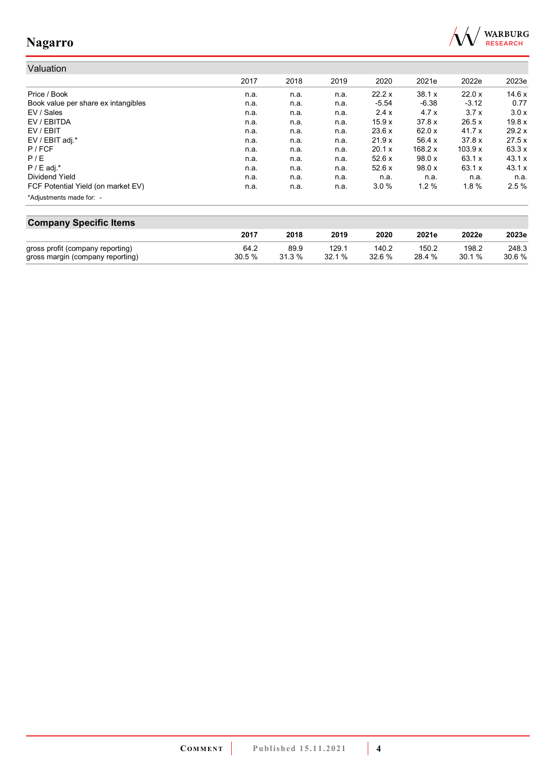

#### Valuation 2017 2018 2019 2020 2021e 2022e 2023e Price / Book n.a. n.a. n.a. 22.2 x 38.1 x 22.0 x 14.6 x Book value per share ex intangibles **n.a.** n.a. n.a. n.a. n.a. -5.54 -6.38 -3.12 0.77<br>EV / Sales 3.7 x 3.0 x n.a. n.a. n.a. n.a. 2.4 x 4.7 x 3.7 x 3.0 x EV / Sales n.a. n.a. n.a. 2.4 x 4.7 x 3.7 x 3.0 x EV / EBITDA n.a. n.a. n.a. 15.9 x 37.8 x 26.5 x 19.8 x EV / EBIT n.a. n.a. n.a. 23.6 x 62.0 x 41.7 x 29.2 x EV / EBIT adj.\* n.a. n.a. n.a. 21.9 x 56.4 x 37.8 x 27.5 x P / FCF n.a. n.a. n.a. 20.1 x 168.2 x 103.9 x 63.3 x P / E n.a. n.a. n.a. 52.6 x 98.0 x 63.1 x 43.1 x P / E adj.\* n.a. n.a. n.a. 52.6 x 98.0 x 63.1 x 43.1 x Dividend Yield n.a. n.a. n.a. n.a. n.a. n.a. n.a. FCF Potential Yield (on market EV) **n.a.** n.a. n.a. n.a. 3.0 % 1.2 % 1.8 % 2.5 % \*Adjustments made for: -

| <b>Company Specific Items</b>    |       |        |       |        |        |        |       |  |  |  |  |  |
|----------------------------------|-------|--------|-------|--------|--------|--------|-------|--|--|--|--|--|
|                                  | 2017  | 2018   | 2019  | 2020   | 2021e  | 2022e  | 2023e |  |  |  |  |  |
| gross profit (company reporting) | 64.2  | 89.9   | 129.1 | 140.2  | 150.2  | 198.2  | 248.3 |  |  |  |  |  |
| gross margin (company reporting) | 30.5% | 31.3 % | 32.1% | 32.6 % | 28.4 % | 30.1 % | 30.6% |  |  |  |  |  |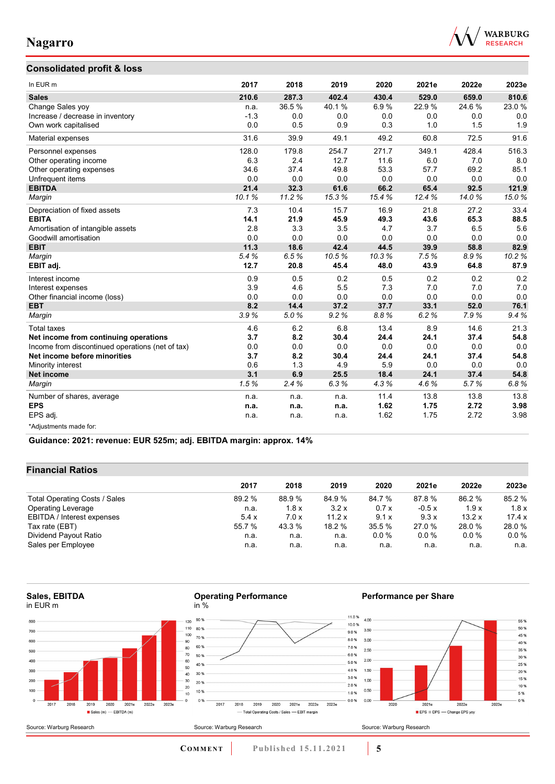

55%

 $50%$ 

45 %

40 %

35 %

 $30%$ 

25 %

20 %

15 %

10 %

5 %

 $0%$ 

## **Consolidated profit & loss**

| In EUR m                                         | 2017   | 2018  | 2019  | 2020  | 2021e  | 2022e | 2023e |
|--------------------------------------------------|--------|-------|-------|-------|--------|-------|-------|
| <b>Sales</b>                                     | 210.6  | 287.3 | 402.4 | 430.4 | 529.0  | 659.0 | 810.6 |
| Change Sales yoy                                 | n.a.   | 36.5% | 40.1% | 6.9%  | 22.9%  | 24.6% | 23.0% |
| Increase / decrease in inventory                 | $-1.3$ | 0.0   | 0.0   | 0.0   | 0.0    | 0.0   | 0.0   |
| Own work capitalised                             | 0.0    | 0.5   | 0.9   | 0.3   | 1.0    | 1.5   | 1.9   |
| Material expenses                                | 31.6   | 39.9  | 49.1  | 49.2  | 60.8   | 72.5  | 91.6  |
| Personnel expenses                               | 128.0  | 179.8 | 254.7 | 271.7 | 349.1  | 428.4 | 516.3 |
| Other operating income                           | 6.3    | 2.4   | 12.7  | 11.6  | 6.0    | 7.0   | 8.0   |
| Other operating expenses                         | 34.6   | 37.4  | 49.8  | 53.3  | 57.7   | 69.2  | 85.1  |
| Unfrequent items                                 | 0.0    | 0.0   | 0.0   | 0.0   | 0.0    | 0.0   | 0.0   |
| <b>EBITDA</b>                                    | 21.4   | 32.3  | 61.6  | 66.2  | 65.4   | 92.5  | 121.9 |
| Margin                                           | 10.1%  | 11.2% | 15.3% | 15.4% | 12.4 % | 14.0% | 15.0% |
| Depreciation of fixed assets                     | 7.3    | 10.4  | 15.7  | 16.9  | 21.8   | 27.2  | 33.4  |
| <b>EBITA</b>                                     | 14.1   | 21.9  | 45.9  | 49.3  | 43.6   | 65.3  | 88.5  |
| Amortisation of intangible assets                | 2.8    | 3.3   | 3.5   | 4.7   | 3.7    | 6.5   | 5.6   |
| Goodwill amortisation                            | 0.0    | 0.0   | 0.0   | 0.0   | 0.0    | 0.0   | 0.0   |
| <b>EBIT</b>                                      | 11.3   | 18.6  | 42.4  | 44.5  | 39.9   | 58.8  | 82.9  |
| Margin                                           | 5.4%   | 6.5%  | 10.5% | 10.3% | 7.5%   | 8.9%  | 10.2% |
| EBIT adj.                                        | 12.7   | 20.8  | 45.4  | 48.0  | 43.9   | 64.8  | 87.9  |
| Interest income                                  | 0.9    | 0.5   | 0.2   | 0.5   | 0.2    | 0.2   | 0.2   |
| Interest expenses                                | 3.9    | 4.6   | 5.5   | 7.3   | 7.0    | 7.0   | 7.0   |
| Other financial income (loss)                    | 0.0    | 0.0   | 0.0   | 0.0   | 0.0    | 0.0   | 0.0   |
| <b>EBT</b>                                       | 8.2    | 14.4  | 37.2  | 37.7  | 33.1   | 52.0  | 76.1  |
| Margin                                           | 3.9%   | 5.0%  | 9.2%  | 8.8%  | 6.2%   | 7.9%  | 9.4%  |
| <b>Total taxes</b>                               | 4.6    | 6.2   | 6.8   | 13.4  | 8.9    | 14.6  | 21.3  |
| Net income from continuing operations            | 3.7    | 8.2   | 30.4  | 24.4  | 24.1   | 37.4  | 54.8  |
| Income from discontinued operations (net of tax) | 0.0    | 0.0   | 0.0   | 0.0   | 0.0    | 0.0   | 0.0   |
| Net income before minorities                     | 3.7    | 8.2   | 30.4  | 24.4  | 24.1   | 37.4  | 54.8  |
| Minority interest                                | 0.6    | 1.3   | 4.9   | 5.9   | 0.0    | 0.0   | 0.0   |
| <b>Net income</b>                                | 3.1    | 6.9   | 25.5  | 18.4  | 24.1   | 37.4  | 54.8  |
| Margin                                           | 1.5%   | 2.4%  | 6.3%  | 4.3%  | 4.6%   | 5.7%  | 6.8%  |
| Number of shares, average                        | n.a.   | n.a.  | n.a.  | 11.4  | 13.8   | 13.8  | 13.8  |
| <b>EPS</b>                                       | n.a.   | n.a.  | n.a.  | 1.62  | 1.75   | 2.72  | 3.98  |
| EPS adj.                                         | n.a.   | n.a.  | n.a.  | 1.62  | 1.75   | 2.72  | 3.98  |
| *Adjustments made for:                           |        |       |       |       |        |       |       |

**Guidance: 2021: revenue: EUR 525m; adj. EBITDA margin: approx. 14%**

### **Financial Ratios**

|                               |        | 2017<br>2018 |        |        |         | 2022e   |         |
|-------------------------------|--------|--------------|--------|--------|---------|---------|---------|
|                               |        |              | 2019   | 2020   | 2021e   |         | 2023e   |
| Total Operating Costs / Sales | 89.2 % | 88.9 %       | 84.9%  | 84.7 % | 87.8%   | 86.2 %  | 85.2 %  |
| <b>Operating Leverage</b>     | n.a.   | 1.8x         | 3.2x   | 0.7x   | $-0.5x$ | 1.9x    | 1.8x    |
| EBITDA / Interest expenses    | 5.4x   | 7.0x         | 11.2 x | 9.1x   | 9.3x    | 13.2x   | 17.4x   |
| Tax rate (EBT)                | 55.7 % | 43.3 %       | 18.2 % | 35.5 % | 27.0 %  | 28.0%   | 28.0%   |
| Dividend Payout Ratio         | n.a.   | n.a.         | n.a.   | 0.0%   | $0.0\%$ | $0.0\%$ | $0.0\%$ |
| Sales per Employee            | n.a.   | n.a.         | n.a.   | n.a.   | n.a.    | n.a.    | n.a.    |

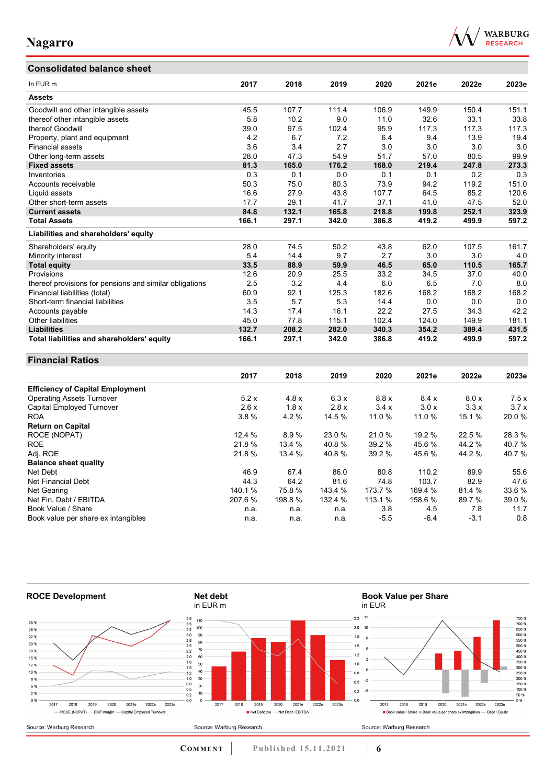# **Consolidated balance sheet**



| In EUR m                                                | 2017       | 2018   | 2019    | 2020    | 2021e   | 2022e  | 2023e |
|---------------------------------------------------------|------------|--------|---------|---------|---------|--------|-------|
| <b>Assets</b>                                           |            |        |         |         |         |        |       |
| Goodwill and other intangible assets                    | 45.5       | 107.7  | 111.4   | 106.9   | 149.9   | 150.4  | 151.1 |
|                                                         | 5.8        | 10.2   | 9.0     | 11.0    | 32.6    | 33.1   | 33.8  |
| thereof other intangible assets<br>thereof Goodwill     | 39.0       | 97.5   | 102.4   | 95.9    | 117.3   | 117.3  | 117.3 |
|                                                         |            | 6.7    | 7.2     | 6.4     | 9.4     | 13.9   | 19.4  |
| Property, plant and equipment                           | 4.2<br>3.6 | 3.4    | 2.7     | 3.0     | 3.0     | 3.0    | 3.0   |
| Financial assets                                        |            |        |         |         |         |        |       |
| Other long-term assets                                  | 28.0       | 47.3   | 54.9    | 51.7    | 57.0    | 80.5   | 99.9  |
| <b>Fixed assets</b>                                     | 81.3       | 165.0  | 176.2   | 168.0   | 219.4   | 247.8  | 273.3 |
| Inventories                                             | 0.3        | 0.1    | 0.0     | 0.1     | 0.1     | 0.2    | 0.3   |
| Accounts receivable                                     | 50.3       | 75.0   | 80.3    | 73.9    | 94.2    | 119.2  | 151.0 |
| Liquid assets                                           | 16.6       | 27.9   | 43.8    | 107.7   | 64.5    | 85.2   | 120.6 |
| Other short-term assets                                 | 17.7       | 29.1   | 41.7    | 37.1    | 41.0    | 47.5   | 52.0  |
| <b>Current assets</b>                                   | 84.8       | 132.1  | 165.8   | 218.8   | 199.8   | 252.1  | 323.9 |
| <b>Total Assets</b>                                     | 166.1      | 297.1  | 342.0   | 386.8   | 419.2   | 499.9  | 597.2 |
| Liabilities and shareholders' equity                    |            |        |         |         |         |        |       |
| Shareholders' equity                                    | 28.0       | 74.5   | 50.2    | 43.8    | 62.0    | 107.5  | 161.7 |
| Minority interest                                       | 5.4        | 14.4   | 9.7     | 2.7     | 3.0     | 3.0    | 4.0   |
| <b>Total equity</b>                                     | 33.5       | 88.9   | 59.9    | 46.5    | 65.0    | 110.5  | 165.7 |
| Provisions                                              | 12.6       | 20.9   | 25.5    | 33.2    | 34.5    | 37.0   | 40.0  |
| thereof provisions for pensions and similar obligations | 2.5        | 3.2    | 4.4     | 6.0     | 6.5     | 7.0    | 8.0   |
| Financial liabilities (total)                           | 60.9       | 92.1   | 125.3   | 182.6   | 168.2   | 168.2  | 168.2 |
| Short-term financial liabilities                        | 3.5        | 5.7    | 5.3     | 14.4    | 0.0     | 0.0    | 0.0   |
| Accounts payable                                        | 14.3       | 17.4   | 16.1    | 22.2    | 27.5    | 34.3   | 42.2  |
| Other liabilities                                       | 45.0       | 77.8   | 115.1   | 102.4   | 124.0   | 149.9  | 181.1 |
| <b>Liabilities</b>                                      | 132.7      | 208.2  | 282.0   | 340.3   | 354.2   | 389.4  | 431.5 |
| Total liabilities and shareholders' equity              | 166.1      | 297.1  | 342.0   | 386.8   | 419.2   | 499.9  | 597.2 |
| <b>Financial Ratios</b>                                 |            |        |         |         |         |        |       |
|                                                         | 2017       | 2018   | 2019    | 2020    | 2021e   | 2022e  | 2023e |
|                                                         |            |        |         |         |         |        |       |
| <b>Efficiency of Capital Employment</b>                 |            |        |         |         |         |        |       |
| <b>Operating Assets Turnover</b>                        | 5.2x       | 4.8x   | 6.3x    | 8.8x    | 8.4x    | 8.0 x  | 7.5x  |
| Capital Employed Turnover                               | 2.6x       | 1.8x   | 2.8x    | 3.4x    | 3.0x    | 3.3x   | 3.7x  |
| <b>ROA</b>                                              | 3.8%       | 4.2%   | 14.5 %  | 11.0 %  | 11.0 %  | 15.1%  | 20.0% |
| <b>Return on Capital</b>                                |            |        |         |         |         |        |       |
| ROCE (NOPAT)                                            | 12.4 %     | 8.9%   | 23.0%   | 21.0%   | 19.2 %  | 22.5 % | 28.3% |
| <b>ROE</b>                                              | 21.8%      | 13.4 % | 40.8%   | 39.2 %  | 45.6%   | 44.2%  | 40.7% |
| Adj. ROE                                                | 21.8%      | 13.4 % | 40.8%   | 39.2 %  | 45.6%   | 44.2%  | 40.7% |
| <b>Balance sheet quality</b>                            |            |        |         |         |         |        |       |
| Net Debt                                                | 46.9       | 67.4   | 86.0    | 80.8    | 110.2   | 89.9   | 55.6  |
| Net Financial Debt                                      | 44.3       | 64.2   | 81.6    | 74.8    | 103.7   | 82.9   | 47.6  |
| Net Gearing                                             | 140.1%     | 75.8%  | 143.4 % | 173.7 % | 169.4 % | 81.4%  | 33.6% |
| Net Fin. Debt / EBITDA                                  | 207.6%     | 198.8% | 132.4 % | 113.1 % | 158.6 % | 89.7%  | 39.0% |
| Book Value / Share                                      | n.a.       | n.a.   | n.a.    | 3.8     | 4.5     | 7.8    | 11.7  |
| Book value per share ex intangibles                     | n.a.       | n.a.   | n.a.    | $-5.5$  | $-6.4$  | $-3.1$ | 0.8   |



**COMMENT** Published 15.11.2021 **6**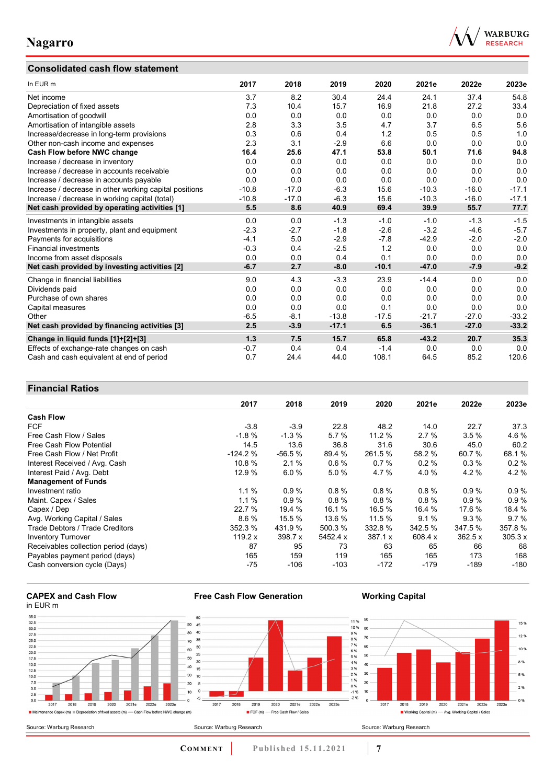## **Consolidated cash flow statement**



| In EUR m                                               | 2017    | 2018    | 2019    | 2020    | 2021e   | 2022e   | 2023e   |
|--------------------------------------------------------|---------|---------|---------|---------|---------|---------|---------|
| Net income                                             | 3.7     | 8.2     | 30.4    | 24.4    | 24.1    | 37.4    | 54.8    |
| Depreciation of fixed assets                           | 7.3     | 10.4    | 15.7    | 16.9    | 21.8    | 27.2    | 33.4    |
| Amortisation of goodwill                               | 0.0     | 0.0     | 0.0     | 0.0     | 0.0     | 0.0     | 0.0     |
| Amortisation of intangible assets                      | 2.8     | 3.3     | 3.5     | 4.7     | 3.7     | 6.5     | 5.6     |
| Increase/decrease in long-term provisions              | 0.3     | 0.6     | 0.4     | 1.2     | 0.5     | 0.5     | 1.0     |
| Other non-cash income and expenses                     | 2.3     | 3.1     | $-2.9$  | 6.6     | 0.0     | 0.0     | 0.0     |
| Cash Flow before NWC change                            | 16.4    | 25.6    | 47.1    | 53.8    | 50.1    | 71.6    | 94.8    |
| Increase / decrease in inventory                       | 0.0     | 0.0     | 0.0     | 0.0     | 0.0     | 0.0     | 0.0     |
| Increase / decrease in accounts receivable             | 0.0     | 0.0     | 0.0     | 0.0     | 0.0     | 0.0     | 0.0     |
| Increase / decrease in accounts payable                | 0.0     | 0.0     | 0.0     | 0.0     | 0.0     | 0.0     | 0.0     |
| Increase / decrease in other working capital positions | $-10.8$ | $-17.0$ | $-6.3$  | 15.6    | $-10.3$ | $-16.0$ | $-17.1$ |
| Increase / decrease in working capital (total)         | $-10.8$ | $-17.0$ | $-6.3$  | 15.6    | $-10.3$ | $-16.0$ | $-17.1$ |
| Net cash provided by operating activities [1]          | 5.5     | 8.6     | 40.9    | 69.4    | 39.9    | 55.7    | 77.7    |
| Investments in intangible assets                       | 0.0     | 0.0     | $-1.3$  | $-1.0$  | $-1.0$  | $-1.3$  | $-1.5$  |
| Investments in property, plant and equipment           | $-2.3$  | $-2.7$  | $-1.8$  | $-2.6$  | $-3.2$  | $-4.6$  | $-5.7$  |
| Payments for acquisitions                              | $-4.1$  | 5.0     | $-2.9$  | $-7.8$  | $-42.9$ | $-2.0$  | $-2.0$  |
| <b>Financial investments</b>                           | $-0.3$  | 0.4     | $-2.5$  | 1.2     | 0.0     | 0.0     | 0.0     |
| Income from asset disposals                            | 0.0     | 0.0     | 0.4     | 0.1     | 0.0     | 0.0     | 0.0     |
| Net cash provided by investing activities [2]          | $-6.7$  | 2.7     | $-8.0$  | $-10.1$ | $-47.0$ | $-7.9$  | $-9.2$  |
| Change in financial liabilities                        | 9.0     | 4.3     | $-3.3$  | 23.9    | $-14.4$ | 0.0     | 0.0     |
| Dividends paid                                         | 0.0     | 0.0     | 0.0     | 0.0     | 0.0     | 0.0     | 0.0     |
| Purchase of own shares                                 | 0.0     | 0.0     | 0.0     | 0.0     | 0.0     | 0.0     | 0.0     |
| Capital measures                                       | 0.0     | 0.0     | 0.0     | 0.1     | 0.0     | 0.0     | 0.0     |
| Other                                                  | $-6.5$  | $-8.1$  | $-13.8$ | $-17.5$ | $-21.7$ | $-27.0$ | $-33.2$ |
| Net cash provided by financing activities [3]          | 2.5     | $-3.9$  | $-17.1$ | 6.5     | $-36.1$ | $-27.0$ | $-33.2$ |
| Change in liquid funds [1]+[2]+[3]                     | 1.3     | 7.5     | 15.7    | 65.8    | $-43.2$ | 20.7    | 35.3    |
| Effects of exchange-rate changes on cash               | $-0.7$  | 0.4     | 0.4     | $-1.4$  | 0.0     | 0.0     | 0.0     |
| Cash and cash equivalent at end of period              | 0.7     | 24.4    | 44.0    | 108.1   | 64.5    | 85.2    | 120.6   |

## **Financial Ratios**

|                                      | 2017      | 2018     | 2019     | 2020    | 2021e   | 2022e   | 2023e   |
|--------------------------------------|-----------|----------|----------|---------|---------|---------|---------|
| <b>Cash Flow</b>                     |           |          |          |         |         |         |         |
| <b>FCF</b>                           | $-3.8$    | $-3.9$   | 22.8     | 48.2    | 14.0    | 22.7    | 37.3    |
| Free Cash Flow / Sales               | $-1.8%$   | $-1.3%$  | 5.7%     | 11.2%   | 2.7%    | 3.5%    | 4.6%    |
| Free Cash Flow Potential             | 14.5      | 13.6     | 36.8     | 31.6    | 30.6    | 45.0    | 60.2    |
| Free Cash Flow / Net Profit          | $-124.2%$ | $-56.5%$ | 89.4 %   | 261.5 % | 58.2 %  | 60.7 %  | 68.1%   |
| Interest Received / Avg. Cash        | 10.8 %    | 2.1%     | 0.6%     | 0.7%    | 0.2%    | 0.3%    | 0.2%    |
| Interest Paid / Avg. Debt            | 12.9 %    | 6.0%     | 5.0%     | 4.7 %   | 4.0 %   | 4.2%    | 4.2%    |
| <b>Management of Funds</b>           |           |          |          |         |         |         |         |
| Investment ratio                     | 1.1%      | 0.9%     | 0.8%     | 0.8%    | 0.8%    | 0.9%    | 0.9%    |
| Maint. Capex / Sales                 | 1.1%      | 0.9%     | $0.8 \%$ | 0.8%    | 0.8%    | 0.9%    | 0.9%    |
| Capex / Dep                          | 22.7 %    | 19.4 %   | 16.1 %   | 16.5 %  | 16.4 %  | 17.6 %  | 18.4 %  |
| Avg. Working Capital / Sales         | 8.6%      | 15.5 %   | 13.6 %   | 11.5 %  | 9.1%    | 9.3%    | 9.7%    |
| Trade Debtors / Trade Creditors      | 352.3 %   | 431.9 %  | 500.3 %  | 332.8 % | 342.5 % | 347.5 % | 357.8%  |
| <b>Inventory Turnover</b>            | 119.2 x   | 398.7 x  | 5452.4 x | 387.1 x | 608.4 x | 362.5 x | 305.3 x |
| Receivables collection period (days) | 87        | 95       | 73       | 63      | 65      | 66      | 68      |
| Payables payment period (days)       | 165       | 159      | 119      | 165     | 165     | 173     | 168     |
| Cash conversion cycle (Days)         | -75       | -106     | $-103$   | -172    | -179    | $-189$  | $-180$  |

# **CAPEX and Cash Flow**



**Free Cash Flow Generation**

**COMMENT Published 15.11.2021 7** 

**Working Capital**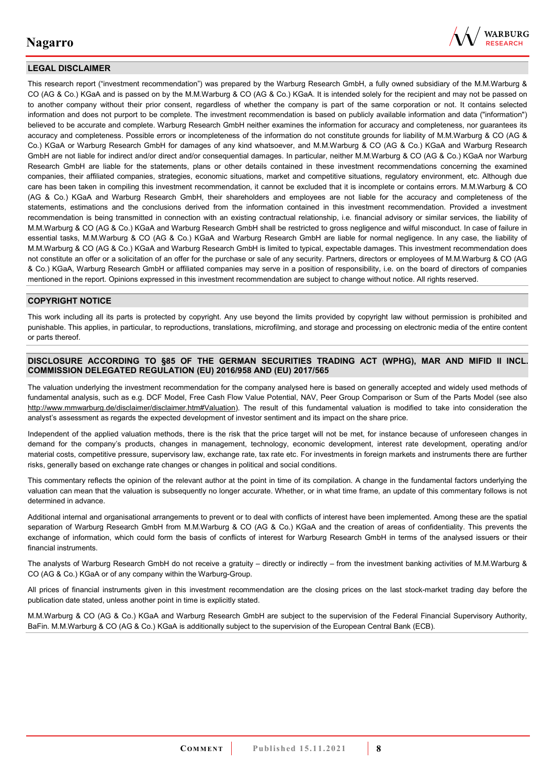

### **LEGAL DISCLAIMER**

This research report ("investment recommendation") was prepared by the Warburg Research GmbH, a fully owned subsidiary of the M.M.Warburg & CO (AG & Co.) KGaA and is passed on by the M.M.Warburg & CO (AG & Co.) KGaA. It is intended solely for the recipient and may not be passed on to another company without their prior consent, regardless of whether the company is part of the same corporation or not. It contains selected information and does not purport to be complete. The investment recommendation is based on publicly available information and data ("information") believed to be accurate and complete. Warburg Research GmbH neither examines the information for accuracy and completeness, nor guarantees its accuracy and completeness. Possible errors or incompleteness of the information do not constitute grounds for liability of M.M.Warburg & CO (AG & Co.) KGaA or Warburg Research GmbH for damages of any kind whatsoever, and M.M.Warburg & CO (AG & Co.) KGaA and Warburg Research GmbH are not liable for indirect and/or direct and/or consequential damages. In particular, neither M.M.Warburg & CO (AG & Co.) KGaA nor Warburg Research GmbH are liable for the statements, plans or other details contained in these investment recommendations concerning the examined companies, their affiliated companies, strategies, economic situations, market and competitive situations, regulatory environment, etc. Although due care has been taken in compiling this investment recommendation, it cannot be excluded that it is incomplete or contains errors. M.M.Warburg & CO (AG & Co.) KGaA and Warburg Research GmbH, their shareholders and employees are not liable for the accuracy and completeness of the statements, estimations and the conclusions derived from the information contained in this investment recommendation. Provided a investment recommendation is being transmitted in connection with an existing contractual relationship, i.e. financial advisory or similar services, the liability of M.M.Warburg & CO (AG & Co.) KGaA and Warburg Research GmbH shall be restricted to gross negligence and wilful misconduct. In case of failure in essential tasks, M.M.Warburg & CO (AG & Co.) KGaA and Warburg Research GmbH are liable for normal negligence. In any case, the liability of M.M.Warburg & CO (AG & Co.) KGaA and Warburg Research GmbH is limited to typical, expectable damages. This investment recommendation does not constitute an offer or a solicitation of an offer for the purchase or sale of any security. Partners, directors or employees of M.M.Warburg & CO (AG & Co.) KGaA, Warburg Research GmbH or affiliated companies may serve in a position of responsibility, i.e. on the board of directors of companies mentioned in the report. Opinions expressed in this investment recommendation are subject to change without notice. All rights reserved.

### **COPYRIGHT NOTICE**

This work including all its parts is protected by copyright. Any use beyond the limits provided by copyright law without permission is prohibited and punishable. This applies, in particular, to reproductions, translations, microfilming, and storage and processing on electronic media of the entire content or parts thereof.

#### **DISCLOSURE ACCORDING TO §85 OF THE GERMAN SECURITIES TRADING ACT (WPHG), MAR AND MIFID II INCL. COMMISSION DELEGATED REGULATION (EU) 2016/958 AND (EU) 2017/565**

The valuation underlying the investment recommendation for the company analysed here is based on generally accepted and widely used methods of fundamental analysis, such as e.g. DCF Model, Free Cash Flow Value Potential, NAV, Peer Group Comparison or Sum of the Parts Model (see also [http://www.mmwarburg.de/disclaimer/disclaimer.htm#Valuation\)](http://www.mmwarburg.de/disclaimer/disclaimer.htm#Valuation). The result of this fundamental valuation is modified to take into consideration the analyst's assessment as regards the expected development of investor sentiment and its impact on the share price.

Independent of the applied valuation methods, there is the risk that the price target will not be met, for instance because of unforeseen changes in demand for the company's products, changes in management, technology, economic development, interest rate development, operating and/or material costs, competitive pressure, supervisory law, exchange rate, tax rate etc. For investments in foreign markets and instruments there are further risks, generally based on exchange rate changes or changes in political and social conditions.

This commentary reflects the opinion of the relevant author at the point in time of its compilation. A change in the fundamental factors underlying the valuation can mean that the valuation is subsequently no longer accurate. Whether, or in what time frame, an update of this commentary follows is not determined in advance.

Additional internal and organisational arrangements to prevent or to deal with conflicts of interest have been implemented. Among these are the spatial separation of Warburg Research GmbH from M.M.Warburg & CO (AG & Co.) KGaA and the creation of areas of confidentiality. This prevents the exchange of information, which could form the basis of conflicts of interest for Warburg Research GmbH in terms of the analysed issuers or their financial instruments.

The analysts of Warburg Research GmbH do not receive a gratuity – directly or indirectly – from the investment banking activities of M.M.Warburg & CO (AG & Co.) KGaA or of any company within the Warburg-Group.

All prices of financial instruments given in this investment recommendation are the closing prices on the last stock-market trading day before the publication date stated, unless another point in time is explicitly stated.

M.M.Warburg & CO (AG & Co.) KGaA and Warburg Research GmbH are subject to the supervision of the Federal Financial Supervisory Authority, BaFin. M.M.Warburg & CO (AG & Co.) KGaA is additionally subject to the supervision of the European Central Bank (ECB).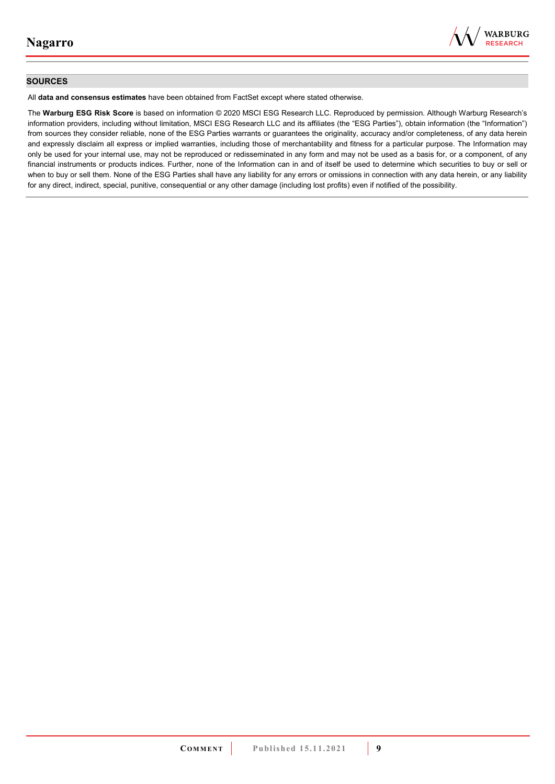

### **SOURCES**

All **data and consensus estimates** have been obtained from FactSet except where stated otherwise.

The **Warburg ESG Risk Score** is based on information © 2020 MSCI ESG Research LLC. Reproduced by permission. Although Warburg Research's information providers, including without limitation, MSCI ESG Research LLC and its affiliates (the "ESG Parties"), obtain information (the "Information") from sources they consider reliable, none of the ESG Parties warrants or guarantees the originality, accuracy and/or completeness, of any data herein and expressly disclaim all express or implied warranties, including those of merchantability and fitness for a particular purpose. The Information may only be used for your internal use, may not be reproduced or redisseminated in any form and may not be used as a basis for, or a component, of any financial instruments or products indices. Further, none of the Information can in and of itself be used to determine which securities to buy or sell or when to buy or sell them. None of the ESG Parties shall have any liability for any errors or omissions in connection with any data herein, or any liability for any direct, indirect, special, punitive, consequential or any other damage (including lost profits) even if notified of the possibility.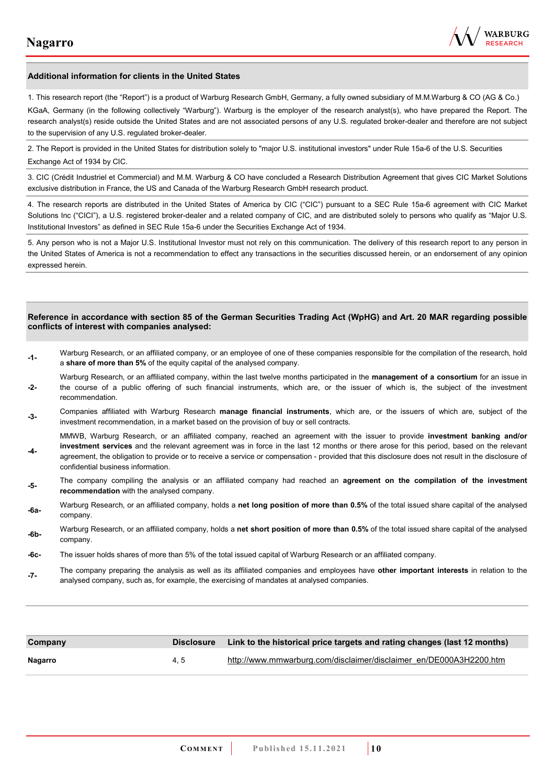

#### **Additional information for clients in the United States**

1. This research report (the "Report") is a product of Warburg Research GmbH, Germany, a fully owned subsidiary of M.M.Warburg & CO (AG & Co.)

KGaA, Germany (in the following collectively "Warburg"). Warburg is the employer of the research analyst(s), who have prepared the Report. The research analyst(s) reside outside the United States and are not associated persons of any U.S. regulated broker-dealer and therefore are not subject to the supervision of any U.S. regulated broker-dealer.

2. The Report is provided in the United States for distribution solely to "major U.S. institutional investors" under Rule 15a-6 of the U.S. Securities Exchange Act of 1934 by CIC.

3. CIC (Crédit Industriel et Commercial) and M.M. Warburg & CO have concluded a Research Distribution Agreement that gives CIC Market Solutions exclusive distribution in France, the US and Canada of the Warburg Research GmbH research product.

4. The research reports are distributed in the United States of America by CIC ("CIC") pursuant to a SEC Rule 15a-6 agreement with CIC Market Solutions Inc ("CICI"), a U.S. registered broker-dealer and a related company of CIC, and are distributed solely to persons who qualify as "Major U.S. Institutional Investors" as defined in SEC Rule 15a-6 under the Securities Exchange Act of 1934.

5. Any person who is not a Major U.S. Institutional Investor must not rely on this communication. The delivery of this research report to any person in the United States of America is not a recommendation to effect any transactions in the securities discussed herein, or an endorsement of any opinion expressed herein.

#### **Reference in accordance with section 85 of the German Securities Trading Act (WpHG) and Art. 20 MAR regarding possible conflicts of interest with companies analysed:**

- **-1-** Warburg Research, or an affiliated company, or an employee of one of these companies responsible for the compilation of the research, hold a **share of more than 5%** of the equity capital of the analysed company.
- **-2-**  Warburg Research, or an affiliated company, within the last twelve months participated in the **management of a consortium** for an issue in the course of a public offering of such financial instruments, which are, or the issuer of which is, the subject of the investment recommendation.
- **-3-** Companies affiliated with Warburg Research **manage financial instruments**, which are, or the issuers of which are, subject of the investment recommendation, in a market based on the provision of buy or sell contracts.

MMWB, Warburg Research, or an affiliated company, reached an agreement with the issuer to provide **investment banking and/or investment services** and the relevant agreement was in force in the last 12 months or there arose for this period, based on the relevant

- **-4**  agreement, the obligation to provide or to receive a service or compensation - provided that this disclosure does not result in the disclosure of confidential business information.
- **-5-** The company compiling the analysis or an affiliated company had reached an **agreement on the compilation of the investment recommendation** with the analysed company.
- **-6a-** Warburg Research, or an affiliated company, holds a **net long position of more than 0.5%** of the total issued share capital of the analysed company.
- **-6b-** Warburg Research, or an affiliated company, holds a **net short position of more than 0.5%** of the total issued share capital of the analysed company.
- **-6c-** The issuer holds shares of more than 5% of the total issued capital of Warburg Research or an affiliated company.
- **-7-** The company preparing the analysis as well as its affiliated companies and employees have **other important interests** in relation to the analysed company, such as, for example, the exercising of mandates at analysed companies.

| Company | Disclosure | Link to the historical price targets and rating changes (last 12 months) |
|---------|------------|--------------------------------------------------------------------------|
| Nagarro | 4.5        | http://www.mmwarburg.com/disclaimer/disclaimer_en/DE000A3H2200.htm       |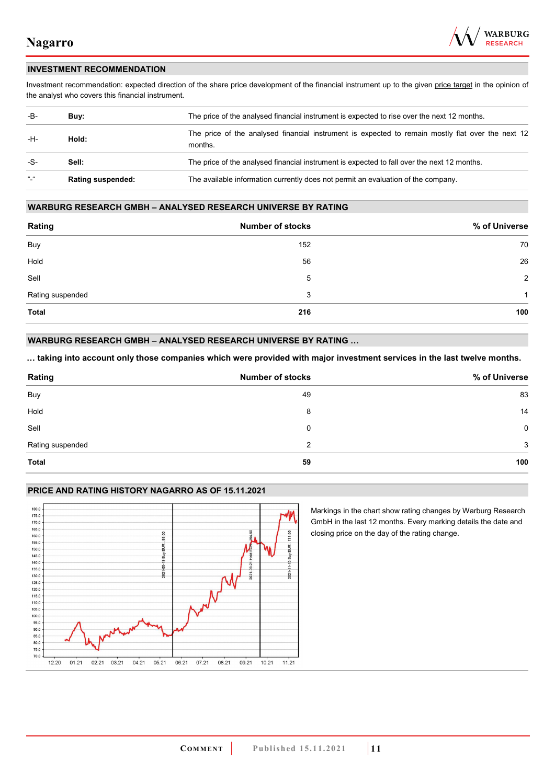

### **INVESTMENT RECOMMENDATION**

Investment recommendation: expected direction of the share price development of the financial instrument up to the given price target in the opinion of the analyst who covers this financial instrument.

| -B-           | Buy:                     | The price of the analysed financial instrument is expected to rise over the next 12 months.                  |  |
|---------------|--------------------------|--------------------------------------------------------------------------------------------------------------|--|
| -H-           | Hold:                    | The price of the analysed financial instrument is expected to remain mostly flat over the next 12<br>months. |  |
| -S-           | Sell:                    | The price of the analysed financial instrument is expected to fall over the next 12 months.                  |  |
| $\frac{1}{2}$ | <b>Rating suspended:</b> | The available information currently does not permit an evaluation of the company.                            |  |

### **WARBURG RESEARCH GMBH – ANALYSED RESEARCH UNIVERSE BY RATING**

| Rating           | <b>Number of stocks</b> | % of Universe  |
|------------------|-------------------------|----------------|
| Buy              | 152                     | 70             |
| Hold             | 56                      | 26             |
| Sell             | 5                       | $\overline{2}$ |
| Rating suspended | 3                       | 1              |
| <b>Total</b>     | 216                     | 100            |

### **WARBURG RESEARCH GMBH – ANALYSED RESEARCH UNIVERSE BY RATING …**

**… taking into account only those companies which were provided with major investment services in the last twelve months.** 

| Rating           | <b>Number of stocks</b> | % of Universe |
|------------------|-------------------------|---------------|
| Buy              | 49                      | 83            |
| Hold             | 8                       | 14            |
| Sell             | 0                       | $\mathbf 0$   |
| Rating suspended | 2                       | 3             |
| Total            | 59                      | 100           |

### **PRICE AND RATING HISTORY NAGARRO AS OF 15.11.2021**



Markings in the chart show rating changes by Warburg Research GmbH in the last 12 months. Every marking details the date and closing price on the day of the rating change.